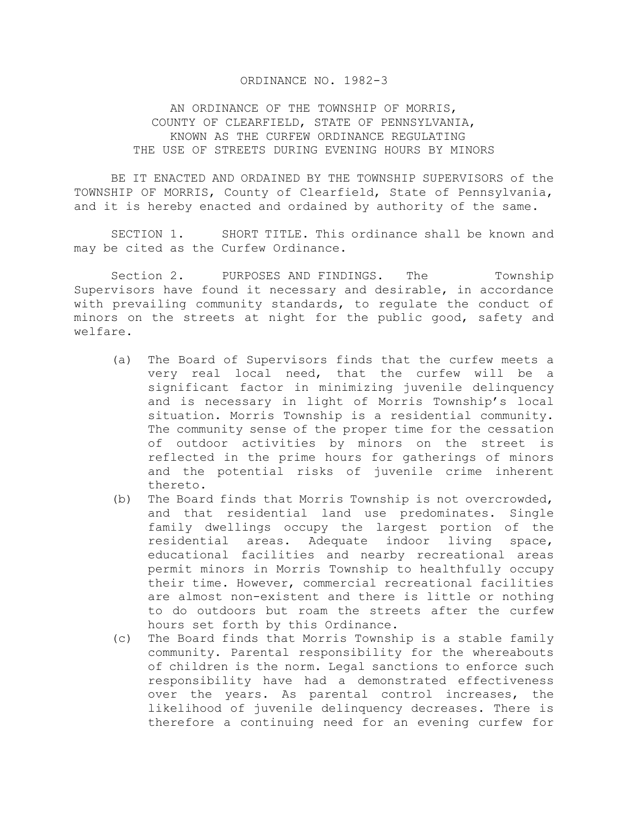## ORDINANCE NO. 1982-3

AN ORDINANCE OF THE TOWNSHIP OF MORRIS, COUNTY OF CLEARFIELD, STATE OF PENNSYLVANIA, KNOWN AS THE CURFEW ORDINANCE REGULATING THE USE OF STREETS DURING EVENING HOURS BY MINORS

 BE IT ENACTED AND ORDAINED BY THE TOWNSHIP SUPERVISORS of the TOWNSHIP OF MORRIS, County of Clearfield, State of Pennsylvania, and it is hereby enacted and ordained by authority of the same.

 SECTION 1. SHORT TITLE. This ordinance shall be known and may be cited as the Curfew Ordinance.

Section 2. PURPOSES AND FINDINGS. The Township Supervisors have found it necessary and desirable, in accordance with prevailing community standards, to regulate the conduct of minors on the streets at night for the public good, safety and welfare.

- (a) The Board of Supervisors finds that the curfew meets a very real local need, that the curfew will be a significant factor in minimizing juvenile delinquency and is necessary in light of Morris Township's local situation. Morris Township is a residential community. The community sense of the proper time for the cessation of outdoor activities by minors on the street is reflected in the prime hours for gatherings of minors and the potential risks of juvenile crime inherent thereto.
- (b) The Board finds that Morris Township is not overcrowded, and that residential land use predominates. Single family dwellings occupy the largest portion of the residential areas. Adequate indoor living space, educational facilities and nearby recreational areas permit minors in Morris Township to healthfully occupy their time. However, commercial recreational facilities are almost non-existent and there is little or nothing to do outdoors but roam the streets after the curfew hours set forth by this Ordinance.
- (c) The Board finds that Morris Township is a stable family community. Parental responsibility for the whereabouts of children is the norm. Legal sanctions to enforce such responsibility have had a demonstrated effectiveness over the years. As parental control increases, the likelihood of juvenile delinquency decreases. There is therefore a continuing need for an evening curfew for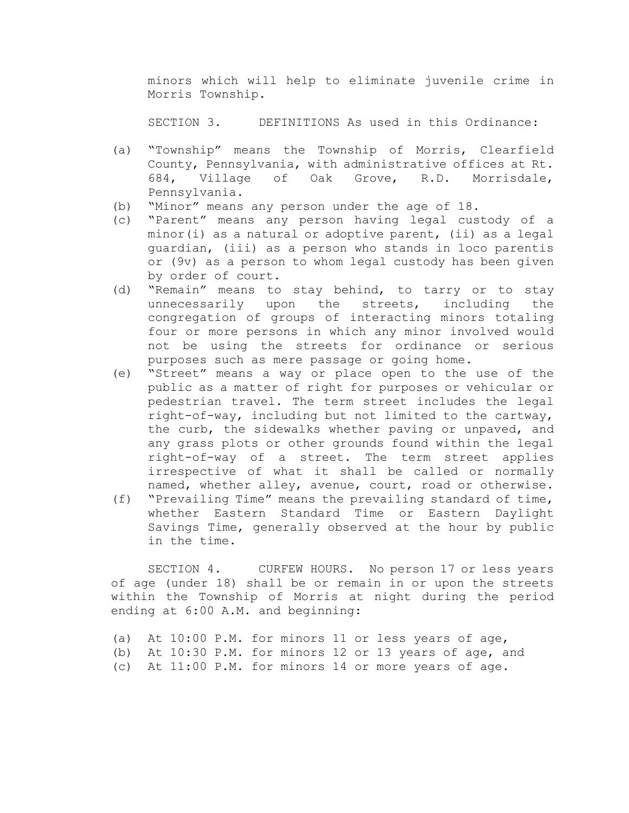minors which will help to eliminate juvenile crime in Morris Township.

SECTION 3. DEFINITIONS As used in this Ordinance:

- (a) "Township" means the Township of Morris, Clearfield County, Pennsylvania, with administrative offices at Rt. 684, Village of Oak Grove, R.D. Morrisdale, Pennsylvania.
- (b) "Minor" means any person under the age of 18.
- (c) "Parent" means any person having legal custody of a minor(i) as a natural or adoptive parent, (ii) as a legal guardian, (iii) as a person who stands in loco parentis or (9v) as a person to whom legal custody has been given by order of court.
- (d) "Remain" means to stay behind, to tarry or to stay unnecessarily upon the streets, including the congregation of groups of interacting minors totaling four or more persons in which any minor involved would not be using the streets for ordinance or serious purposes such as mere passage or going home.
- (e) "Street" means a way or place open to the use of the public as a matter of right for purposes or vehicular or pedestrian travel. The term street includes the legal right-of-way, including but not limited to the cartway, the curb, the sidewalks whether paving or unpaved, and any grass plots or other grounds found within the legal right-of-way of a street. The term street applies irrespective of what it shall be called or normally named, whether alley, avenue, court, road or otherwise.
- (f) "Prevailing Time" means the prevailing standard of time, whether Eastern Standard Time or Eastern Daylight Savings Time, generally observed at the hour by public in the time.

SECTION 4. CURFEW HOURS. No person 17 or less years of age (under 18) shall be or remain in or upon the streets within the Township of Morris at night during the period ending at 6:00 A.M. and beginning:

(a) At 10:00 P.M. for minors 11 or less years of age, (b) At 10:30 P.M. for minors 12 or 13 years of age, and (c) At 11:00 P.M. for minors 14 or more years of age.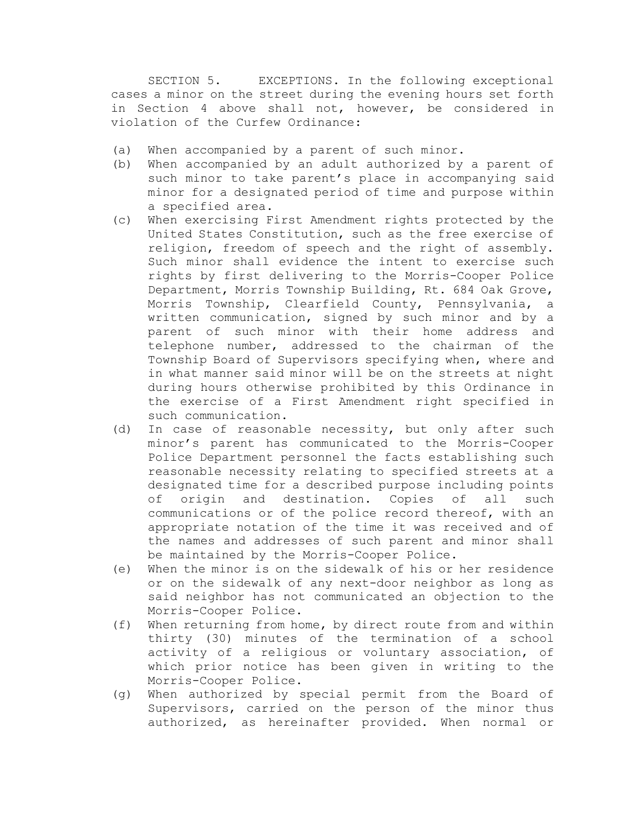SECTION 5. EXCEPTIONS. In the following exceptional cases a minor on the street during the evening hours set forth in Section 4 above shall not, however, be considered in violation of the Curfew Ordinance:

- (a) When accompanied by a parent of such minor.
- (b) When accompanied by an adult authorized by a parent of such minor to take parent's place in accompanying said minor for a designated period of time and purpose within a specified area.
- (c) When exercising First Amendment rights protected by the United States Constitution, such as the free exercise of religion, freedom of speech and the right of assembly. Such minor shall evidence the intent to exercise such rights by first delivering to the Morris-Cooper Police Department, Morris Township Building, Rt. 684 Oak Grove, Morris Township, Clearfield County, Pennsylvania, a written communication, signed by such minor and by a parent of such minor with their home address and telephone number, addressed to the chairman of the Township Board of Supervisors specifying when, where and in what manner said minor will be on the streets at night during hours otherwise prohibited by this Ordinance in the exercise of a First Amendment right specified in such communication.
- (d) In case of reasonable necessity, but only after such minor's parent has communicated to the Morris-Cooper Police Department personnel the facts establishing such reasonable necessity relating to specified streets at a designated time for a described purpose including points of origin and destination. Copies of all such communications or of the police record thereof, with an appropriate notation of the time it was received and of the names and addresses of such parent and minor shall be maintained by the Morris-Cooper Police.
- (e) When the minor is on the sidewalk of his or her residence or on the sidewalk of any next-door neighbor as long as said neighbor has not communicated an objection to the Morris-Cooper Police.
- (f) When returning from home, by direct route from and within thirty (30) minutes of the termination of a school activity of a religious or voluntary association, of which prior notice has been given in writing to the Morris-Cooper Police.
- (g) When authorized by special permit from the Board of Supervisors, carried on the person of the minor thus authorized, as hereinafter provided. When normal or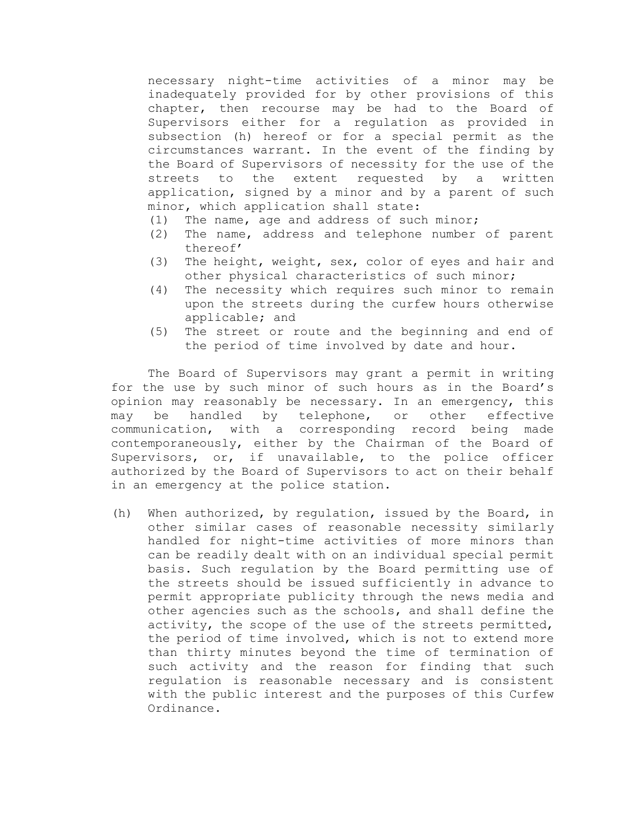necessary night-time activities of a minor may be inadequately provided for by other provisions of this chapter, then recourse may be had to the Board of Supervisors either for a regulation as provided in subsection (h) hereof or for a special permit as the circumstances warrant. In the event of the finding by the Board of Supervisors of necessity for the use of the streets to the extent requested by a written application, signed by a minor and by a parent of such minor, which application shall state:

- (1) The name, age and address of such minor;
- (2) The name, address and telephone number of parent thereof'
- (3) The height, weight, sex, color of eyes and hair and other physical characteristics of such minor;
- (4) The necessity which requires such minor to remain upon the streets during the curfew hours otherwise applicable; and
- (5) The street or route and the beginning and end of the period of time involved by date and hour.

The Board of Supervisors may grant a permit in writing for the use by such minor of such hours as in the Board's opinion may reasonably be necessary. In an emergency, this may be handled by telephone, or other effective communication, with a corresponding record being made contemporaneously, either by the Chairman of the Board of Supervisors, or, if unavailable, to the police officer authorized by the Board of Supervisors to act on their behalf in an emergency at the police station.

(h) When authorized, by regulation, issued by the Board, in other similar cases of reasonable necessity similarly handled for night-time activities of more minors than can be readily dealt with on an individual special permit basis. Such regulation by the Board permitting use of the streets should be issued sufficiently in advance to permit appropriate publicity through the news media and other agencies such as the schools, and shall define the activity, the scope of the use of the streets permitted, the period of time involved, which is not to extend more than thirty minutes beyond the time of termination of such activity and the reason for finding that such regulation is reasonable necessary and is consistent with the public interest and the purposes of this Curfew Ordinance.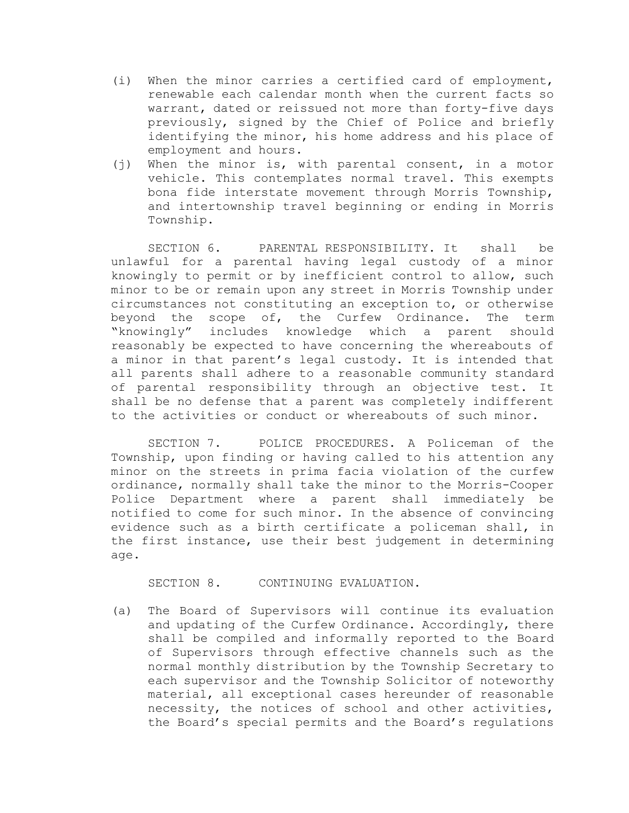- (i) When the minor carries a certified card of employment, renewable each calendar month when the current facts so warrant, dated or reissued not more than forty-five days previously, signed by the Chief of Police and briefly identifying the minor, his home address and his place of employment and hours.
- (j) When the minor is, with parental consent, in a motor vehicle. This contemplates normal travel. This exempts bona fide interstate movement through Morris Township, and intertownship travel beginning or ending in Morris Township.

SECTION 6. PARENTAL RESPONSIBILITY. It shall be unlawful for a parental having legal custody of a minor knowingly to permit or by inefficient control to allow, such minor to be or remain upon any street in Morris Township under circumstances not constituting an exception to, or otherwise beyond the scope of, the Curfew Ordinance. The term "knowingly" includes knowledge which a parent should reasonably be expected to have concerning the whereabouts of a minor in that parent's legal custody. It is intended that all parents shall adhere to a reasonable community standard of parental responsibility through an objective test. It shall be no defense that a parent was completely indifferent to the activities or conduct or whereabouts of such minor.

SECTION 7. POLICE PROCEDURES. A Policeman of the Township, upon finding or having called to his attention any minor on the streets in prima facia violation of the curfew ordinance, normally shall take the minor to the Morris-Cooper Police Department where a parent shall immediately be notified to come for such minor. In the absence of convincing evidence such as a birth certificate a policeman shall, in the first instance, use their best judgement in determining age.

SECTION 8. CONTINUING EVALUATION.

(a) The Board of Supervisors will continue its evaluation and updating of the Curfew Ordinance. Accordingly, there shall be compiled and informally reported to the Board of Supervisors through effective channels such as the normal monthly distribution by the Township Secretary to each supervisor and the Township Solicitor of noteworthy material, all exceptional cases hereunder of reasonable necessity, the notices of school and other activities, the Board's special permits and the Board's regulations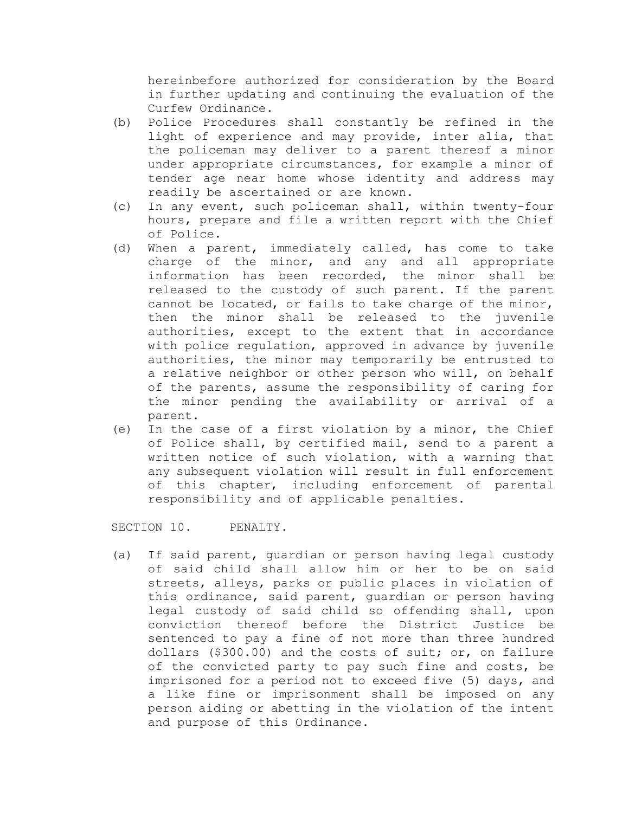hereinbefore authorized for consideration by the Board in further updating and continuing the evaluation of the Curfew Ordinance.

- (b) Police Procedures shall constantly be refined in the light of experience and may provide, inter alia, that the policeman may deliver to a parent thereof a minor under appropriate circumstances, for example a minor of tender age near home whose identity and address may readily be ascertained or are known.
- (c) In any event, such policeman shall, within twenty-four hours, prepare and file a written report with the Chief of Police.
- (d) When a parent, immediately called, has come to take charge of the minor, and any and all appropriate information has been recorded, the minor shall be released to the custody of such parent. If the parent cannot be located, or fails to take charge of the minor, then the minor shall be released to the juvenile authorities, except to the extent that in accordance with police regulation, approved in advance by juvenile authorities, the minor may temporarily be entrusted to a relative neighbor or other person who will, on behalf of the parents, assume the responsibility of caring for the minor pending the availability or arrival of a parent.
- (e) In the case of a first violation by a minor, the Chief of Police shall, by certified mail, send to a parent a written notice of such violation, with a warning that any subsequent violation will result in full enforcement of this chapter, including enforcement of parental responsibility and of applicable penalties.

SECTION 10. PENALTY.

(a) If said parent, guardian or person having legal custody of said child shall allow him or her to be on said streets, alleys, parks or public places in violation of this ordinance, said parent, guardian or person having legal custody of said child so offending shall, upon conviction thereof before the District Justice be sentenced to pay a fine of not more than three hundred dollars (\$300.00) and the costs of suit; or, on failure of the convicted party to pay such fine and costs, be imprisoned for a period not to exceed five (5) days, and a like fine or imprisonment shall be imposed on any person aiding or abetting in the violation of the intent and purpose of this Ordinance.